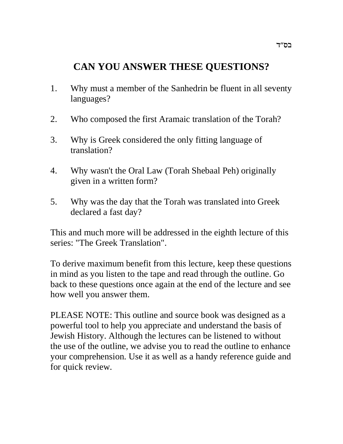# **CAN YOU ANSWER THESE QUESTIONS?**

- 1. Why must a member of the Sanhedrin be fluent in all seventy languages?
- 2. Who composed the first Aramaic translation of the Torah?
- 3. Why is Greek considered the only fitting language of translation?
- 4. Why wasn't the Oral Law (Torah Shebaal Peh) originally given in a written form?
- 5. Why was the day that the Torah was translated into Greek declared a fast day?

This and much more will be addressed in the eighth lecture of this series: "The Greek Translation".

To derive maximum benefit from this lecture, keep these questions in mind as you listen to the tape and read through the outline. Go back to these questions once again at the end of the lecture and see how well you answer them.

PLEASE NOTE: This outline and source book was designed as a powerful tool to help you appreciate and understand the basis of Jewish History. Although the lectures can be listened to without the use of the outline, we advise you to read the outline to enhance your comprehension. Use it as well as a handy reference guide and for quick review.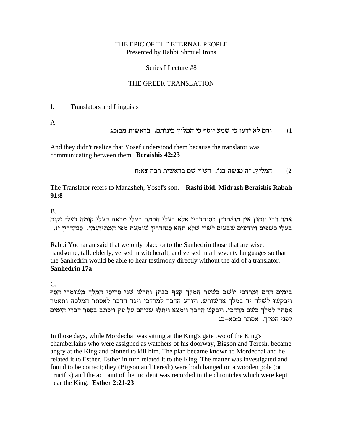### THE EPIC OF THE ETERNAL PEOPLE Presented by Rabbi Shmuel Irons

#### Series I Lecture #8

# THE GREEK TRANSLATION

I. Translators and Linguists

A.

# והם לא ידעוּ כי שמע יוֹסף כי המליץ בינוֹתם. בראשית מב:כג

And they didn't realize that Yosef understood them because the translator was communicating between them. **Beraishis 42:23**

המליץ. זה מנשה בנוֹ. רשׁ"י שם בראשית רבה צא:ח  $\,$ 

The Translator refers to Manasheh, Yosef's son. **Rashi ibid. Midrash Beraishis Rabah 91:8**

B.

אמר רבי יוֹחנן אין מוֹשׁיבין בסנהדרין אלא בעלי חכמה בעלי מראה בעלי קוֹמה בעלי זקנה .<br>בעלי כשפים ויודעים שבעים לשון שלא תהא סנהדרין שומעת מפי המתורגמן. סנהדרין יז

Rabbi Yochanan said that we only place onto the Sanhedrin those that are wise, handsome, tall, elderly, versed in witchcraft, and versed in all seventy languages so that the Sanhedrin would be able to hear testimony directly without the aid of a translator. **Sanhedrin 17a**

C.

בימים ההם ומרדכי יוֹשׁב בשׁער המלך קצף בגתן ותרשׁ שני סריסי המלך משוֹמרי הסף ויבקשו לשלח יד במלך אחשורש. ויודע הדבר למרדכי ויגד הדבר לאסתר המלכה ותאמר אסתר למלך בשם מרדכי. ויבקש הדבר וימצא ויתלו שניהם על עץ ויכתב בספר דברי הימים לפני המלך. אסתר ב:כא–כג

In those days, while Mordechai was sitting at the King's gate two of the King's chamberlains who were assigned as watchers of his doorway, Bigson and Teresh, became angry at the King and plotted to kill him. The plan became known to Mordechai and he related it to Esther. Esther in turn related it to the King. The matter was investigated and found to be correct; they (Bigson and Teresh) were both hanged on a wooden pole (or crucifix) and the account of the incident was recorded in the chronicles which were kept near the King. **Esther 2:21-23**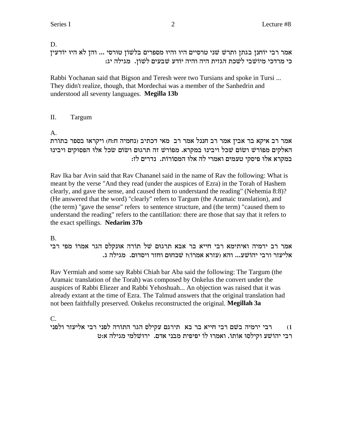# D.

אמר רבי יוֹחנן בגתן ותרשׁ שני טרסיים היו והיו מספרים בלשוֹן טוּרסי ... והן לא היו יוֹדעין : כי מרדכי מיוֹשׁבי לשׁכת הגזית היה והיה יוֹדע שׁבעים לֹשוֹן. מגילה יג

Rabbi Yochanan said that Bigson and Teresh were two Tursians and spoke in Tursi ... They didn't realize, though, that Mordechai was a member of the Sanhedrin and understood all seventy languages. **Megilla 13b**

# II. Targum

A.

אמר רב איקא בר אבין אמר רב חננל אמר רב מאי דכתיב (נחמיה ח:ח) ויקראוּ בספר בתורת האלקים מפורש ושום שכל ויבינו במקרא. מפורש זה תרגום ושום שכל אלו הפסוקים ויבינו במקרא אלו פיסקי טעמים ואמרי לה אלו המסורות. נדרים לז:

Rav Ika bar Avin said that Rav Chananel said in the name of Rav the following: What is meant by the verse "And they read (under the auspices of Ezra) in the Torah of Hashem clearly, and gave the sense, and caused them to understand the reading" (Nehemia 8:8)? (He answered that the word) "clearly" refers to Targum (the Aramaic translation), and (the term) "gave the sense" refers to sentence structure, and (the term) "caused them to understand the reading" refers to the cantillation: there are those that say that it refers to the exact spellings. **Nedarim 37b**

# B.

אמר רב ירמיה ואיתימא רבי חייא בר אבא תרגום של תורה אונקלס הגר אמרו מפי רבי .b אליעזר ורבי יהוֹשׁע... והא (עזרא אמרוֹ)? שׁכחוּם וחזר ויסדוּם. מגילה ג

Rav Yermiah and some say Rabbi Chiah bar Aba said the following: The Targum (the Aramaic translation of the Torah) was composed by Onkelus the convert under the auspices of Rabbi Eliezer and Rabbi Yehoshuah... An objection was raised that it was already extant at the time of Ezra. The Talmud answers that the original translation had not been faithfully preserved. Onkelus reconstructed the original. **Megillah 3a**

C.

ו) רבי ירמיה בשם רבי חייא בר בא תירגם עקילס הגר התורה לפני רבי אליעזר ולפני רבי יהוֹשׁע וקילסוּ אוֹתוֹ. ואמרוּ לוֹ יפיפית מבני אדם. ירוּשׁלמי מגילה אּ:ט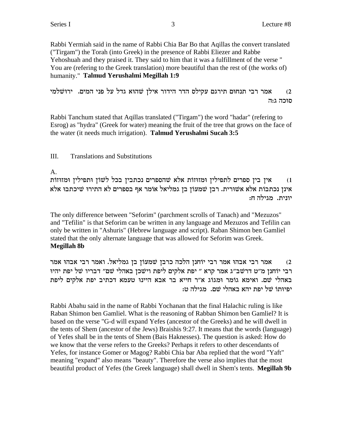Rabbi Yermiah said in the name of Rabbi Chia Bar Bo that Aqillas the convert translated ("Tirgam") the Torah (into Greek) in the presence of Rabbi Eliezer and Rabbe Yehoshuah and they praised it. They said to him that it was a fulfillment of the verse " You are (refering to the Greek translation) more beautiful than the rest of (the works of) humanity." **Talmud Yerushalmi Megillah 1:9**

אמר רבי תנחום תירגם עקילס הדר הידור אילן שהוא גדל על פני המים. ירוּשׁלמי  $\,$ סוכה ג:ה

Rabbi Tanchum stated that Aqillas translated ("Tirgam") the word "hadar" (refering to Esrog) as "hydra" (Greek for water) meaning the fruit of the tree that grows on the face of the water (it needs much irrigation). **Talmud Yerushalmi Sucah 3:5**

# III. Translations and Substitutions

# A.

צין בין ספרים לתפילין ומזוזות אלא שהספרים נכתבין בכל לשון ותפילין ומזוזות (1 אינן נכתבות אלא אשורית. רבן שמעוֹן בן גמליאל אוֹמר אף בספרים לא התירוּ שיכתבוּ אלא יונית. מגילה ח:

The only difference between "Seforim" (parchment scrolls of Tanach) and "Mezuzos" and "Tefilin" is that Seforim can be written in any language and Mezuzos and Tefilin can only be written in "Ashuris" (Hebrew language and script). Raban Shimon ben Gamliel stated that the only alternate language that was allowed for Seforim was Greek. **Megillah 8b**

אמר רבי אבהו אמר רבי יוֹחנן הלכה כרבן שמעוֹן בן גמליאל. ואמר רבי אבהו אמר  $\,$ רבי יוֹחנן מ"ט דרשׁב"ג אמר קרא " יפת אלקים ליפת וישׁכן באהלי שם" דבריו של יפת יהיו באהלי שם. ואימא גומר ומגוג א"ר חייא בר אבא היינו טעמא דכתיב יפת אלקים ליפת יפיותו של יפת יהא באהלי שם. מגילה ט:

Rabbi Abahu said in the name of Rabbi Yochanan that the final Halachic ruling is like Raban Shimon ben Gamliel. What is the reasoning of Rabban Shimon ben Gamliel? It is based on the verse "G-d will expand Yefes (ancestor of the Greeks) and he will dwell in the tents of Shem (ancestor of the Jews) Braishis 9:27. It means that the words (language) of Yefes shall be in the tents of Shem (Bais Haknesses). The question is asked: How do we know that the verse refers to the Greeks? Perhaps it refers to other descendants of Yefes, for instance Gomer or Magog? Rabbi Chia bar Aba replied that the word "Yaft" meaning "expand" also means "beauty". Therefore the verse also implies that the most beautiful product of Yefes (the Greek language) shall dwell in Shem's tents. **Megillah 9b**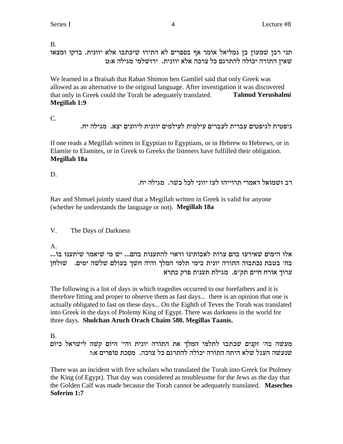B.

תני רבן שמעוֹן בן גמליאל אוֹמר אף בספרים לא התירוּ שיכתבוּ אלא יוונית. בדקוּ וּמצאוּ שאין התורה יכולה להתרגם כל צרכה אלא יוונית. ירושלמי מגילה אוט

We learned in a Braisah that Raban Shimon ben Gamliel said that only Greek was allowed as an alternative to the original language. After investigation it was discovered that only in Greek could the Torah be adequately translated. **Talmud Yerushalmi Megillah 1:9**

C.

.גיפטית לגיפטים עברית לעברים עילמית לעילמים יוונית ליוונים יצא. מגילה יח

If one reads a Megillah written in Egyptian to Egyptians, or in Hebrew to Hebrews, or in Elamite to Elamites, or in Greek to Greeks the listeners have fulfilled their obligation. **Megillah 18a**

D.

. רב וּשׁמוּאל דאמרי תרוייהוּ לעז יווני לכל כשר. מגילה יח

Rav and Shmuel jointly stated that a Megillah written in Greek is valid for anyone (whether he understands the language or not). **Megillah 18a**

V. The Days of Darkness

A.

...Fa EprziW xn`iW in Wi ...mda zFprzdl iE`xe EpizFa`l zFxv mda Erxi`W minid El` בח׳ בטבת נכתבוּה התוֹרה יונית בימי תלמי המלך והיה חשׁך בעוֹלם שׁלֹשה ימים. ■שׁוּלְחז ערוּך אוֹרח חיים תק״פ. מגילת תענית פרק בתרא

The following is a list of days in which tragedies occurred to our forefathers and it is therefore fitting and proper to observe them as fast days... there is an opinion that one is actually obligated to fast on these days... On the Eighth of Teves the Torah was translated into Greek in the days of Ptolemy King of Egypt. There was darkness in the world for three days. **Shulchan Aruch Orach Chaim 580. Megillas Taanis.**

B.

מעשה בה' זקנים שכתבו לתלמי המלך את התורה יונית והי' היוֹם קשה לישראל כיוֹם ל העגל שלא היתה התורה יכולה להתרגם כל צרכה. מסכת סופרים אז  $\omega$ 

There was an incident with five scholars who translated the Torah into Greek for Ptolmey the King (of Egypt). That day was considered as troublesome for the Jews as the day that the Golden Calf was made because the Torah cannot be adequately translated. **Maseches Soferim 1:7**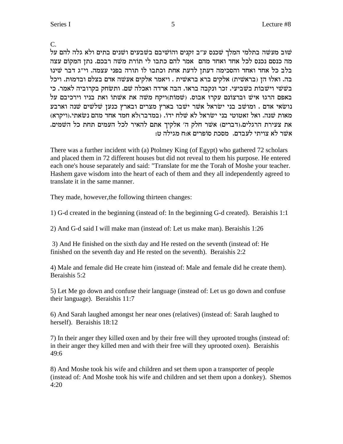C.

שוב מעשה בתלמי המלך שכנס ע"ב זקנים והוֹשיבם בשבעים ושנים בתים ולא גלה להם על מה כנסם נכנס לכל אחד ואחד מהם אמר להם כתבו לי תורת משה רבכם. נתן המקום עצה בלב כל אחד ואחד והסכימה דעתן לדעת אחת וכתבו לו תורה בפני עצמה. וי"ג דבר שינו בה. ואלוּ הן (בראשׁית) אלקים ברא בראשית . ויאמר אלקים אעשה אדם בצלם ובדמוּת. ויכל בשׁשי וישׁבוֹת בשׁביעי. זכר וּנקבה בראו. הבה ארדה ואכלה שם. ותשחק בקרוביה לאמר. כי באפם הרגו איש וברצונם עקרו אבוס. (שמות)ויקח משה את אשתו ואת בניו וירכיבם על נושׂאי אדם . ומושׁב בני ישׂראל אשׁר ישׁבו בארץ מצרים ובארץ כנען שלשים שנה וארבע מאות שנה. ואל זאטוטי בני ישראל לא שלח ידו. (במדבר)לא חמד אחד מהם נשאתי.(ויקרא) את צעירת הרגלים.(דברים) אשר חלק ה' אלקיך אתם להאיר לכל העמים תחת כל השמים. אשר לא צויתי לעבדם. מסכת סופרים א:ח מגילה ט:

There was a further incident with (a) Ptolmey King (of Egypt) who gathered 72 scholars and placed them in 72 different houses but did not reveal to them his purpose. He entered each one's house separately and said: "Translate for me the Torah of Moshe your teacher. Hashem gave wisdom into the heart of each of them and they all independently agreed to translate it in the same manner.

They made, however, the following thirteen changes:

1) G-d created in the beginning (instead of: In the beginning G-d created). Beraishis 1:1

2) And G-d said I will make man (instead of: Let us make man). Beraishis 1:26

3) And He finished on the sixth day and He rested on the seventh (instead of: He finished on the seventh day and He rested on the seventh). Beraishis 2:2

4) Male and female did He create him (instead of: Male and female did he create them). Beraishis 5:2

5) Let Me go down and confuse their language (instead of: Let us go down and confuse their language). Beraishis 11:7

6) And Sarah laughed amongst her near ones (relatives) (instead of: Sarah laughed to herself). Beraishis 18:12

7) In their anger they killed oxen and by their free will they uprooted troughs (instead of: in their anger they killed men and with their free will they uprooted oxen). Beraishis 49:6

8) And Moshe took his wife and children and set them upon a transporter of people (instead of: And Moshe took his wife and children and set them upon a donkey). Shemos  $4:20$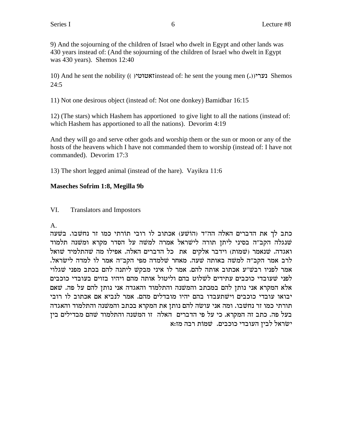9) And the sojourning of the children of Israel who dwelt in Egypt and other lands was 430 years instead of: (And the sojourning of the children of Israel who dwelt in Egypt was  $430$  years). Shemos  $12:40$ 

10) And he sent the nobility (( ) נערי (( ) והואטונטי () and he sent the nobility (( ) נערי  $24.5$ 

11) Not one desirous object (instead of: Not one donkey) Bamidbar 16:15

12) (The stars) which Hashem has apportioned to give light to all the nations (instead of: which Hashem has apportioned to all the nations). Devorim 4:19

And they will go and serve other gods and worship them or the sun or moon or any of the hosts of the heavens which I have not commanded them to worship (instead of: I have not commanded). Devorim 17:3

13) The short legged animal (instead of the hare). Vayikra 11:6

# **Maseches Sofrim 1:8, Megilla 9b**

#### VI. **Translators and Impostors**

 $\mathbf{A}$ 

כתב לך את הדברים האלה הה"ד (הוֹשׁע) אכתוב לו רובי תורתי כמו זר נחשבו. בשעה שנגלה הקב"ה בסיני ליתן תורה לישראל אמרה למשה על הסדר מקרא ומשנה תלמוד ואגדה. שנאמר (שמות) וידבר אלקים את כל הדברים האלה. אפילו מה שהתלמיד שואל לרב אמר הקב"ה למשה באותה שעה. מאחר שלמדה מפי הקב"ה אמר לו למדה לישראל. אמר לפניו רבש״ע אכתוב אותה להם. אמר לו איני מבקש ליתנה להם בכתב מפני שגלוי לפני שעובדי כוכבים עתידים לשלוט בהם וליטול אותה מהם ויהיו בזוים בעובדי כוכבים אלא המקרא אני נותן להם במכתב והמשנה והתלמוד והאגדה אני נותן להם על פה. שאם יבואו עובדי כוכבים וישתעבדו בהם יהיו מובדלים מהם. אמר לנביא אם אכתוב לו רובי תורתי כמו זר נחשבו. ומה אני עושה להם נותן את המקרא בכתב והמשנה והתלמוד והאגדה בעל פה. כתב זה המקרא. כי על פי הדברים האלה זו המשנה והתלמוד שהם מבדילים בין ישראל לבין העובדי כוכבים. שמות רבה מז:א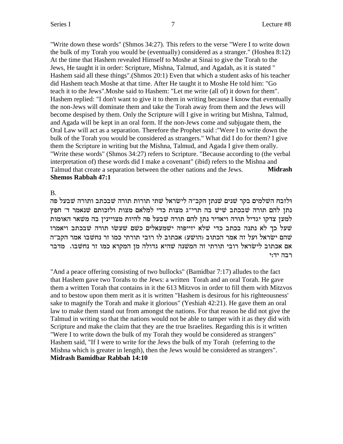"Write down these words" (Shmos 34:27). This refers to the verse "Were I to write down the bulk of my Torah you would be (eventually) considered as a stranger." (Hoshea 8:12) At the time that Hashem revealed Himself to Moshe at Sinai to give the Torah to the Jews, He taught it in order: Scripture, Mishna, Talmud, and Agadah, as it is stated " Hashem said all these things".(Shmos 20:1) Even that which a student asks of his teacher did Hashem teach Moshe at that time. After He taught it to Moshe He told him: "Go teach it to the Jews".Moshe said to Hashem: "Let me write (all of) it down for them". Hashem replied: "I don't want to give it to them in writing because I know that eventually the non-Jews will dominate them and take the Torah away from them and the Jews will become despised by them. Only the Scripture will I give in writing but Mishna, Talmud, and Agada will be kept in an oral form. If the non-Jews come and subjugate them, the Oral Law will act as a separation. Therefore the Prophet said :"Were I to write down the bulk of the Torah you would be considered as strangers." What did I do for them? I give them the Scripture in writing but the Mishna, Talmud, and Agada I give them orally. "Write these words" (Shmos 34:27) refers to Scripture. "Because according to (the verbal interpretation of) these words did I make a covenant" (ibid) refers to the Mishna and Talmud that create a separation between the other nations and the Jews. **Midrash Shemos Rabbah 47:1**

B.

ולזבח השלמים בקר שנים שנתן הקב״ה לישׂראל שתי תורות תורה שבנים שבעל פה נתן להם תורה שבכתב שיש בה תרי״ג מצות כדי למלאם מצות ולזכותם שנאמר ד׳ חפץ למען צדקו יגדיל תורה ויאדיר נתן להם תורה שבעל פה להיות מצויינין בה משאר האומות שעל כך לא נתנה בכתב כדי שלא יזייפוה ישמעאלים כשם שעשו תורה שבכתב ויאמרו שהם ישראל ועל זה אמר הכתוב (הושע) אכתוב לו רובי תורתי כמו זר נחשבו אמר הקב"ה אם אכתוב לישׂראל רובי תורתי זה המשנה שהיא גדולה מן המקרא כמו זר נחשבו. מדבר רבה יד:י

"And a peace offering consisting of two bullocks" (Bamidbar 7:17) alludes to the fact that Hashem gave two Torahs to the Jews: a written Torah and an oral Torah. He gave them a written Torah that contains in it the 613 Mitzvos in order to fill them with Mitzvos and to bestow upon them merit as it is written "Hashem is desirous for his righteousness' sake to magnify the Torah and make it glorious" (Yeshiah 42:21). He gave them an oral law to make them stand out from amongst the nations. For that reason he did not give the Talmud in writing so that the nations would not be able to tamper with it as they did with Scripture and make the claim that they are the true Israelites. Regarding this is it written "Were I to write down the bulk of my Torah they would be considered as strangers" Hashem said, "If I were to write for the Jews the bulk of my Torah (referring to the Mishna which is greater in length), then the Jews would be considered as strangers". **Midrash Bamidbar Rabbah 14:10**